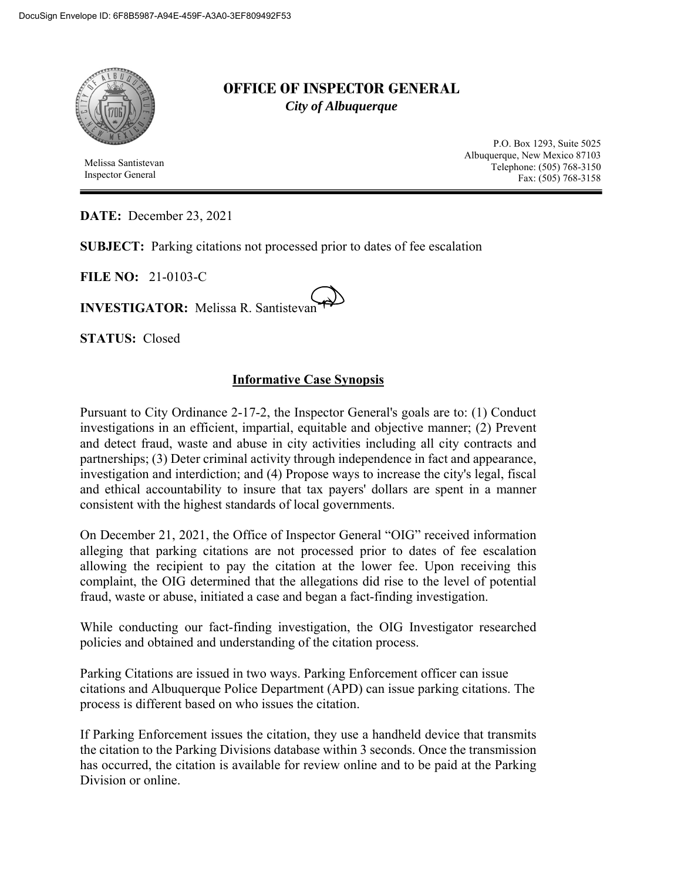

 Melissa Santistevan Inspector General

## **OFFICE OF INSPECTOR GENERAL**  *City of Albuquerque*

P.O. Box 1293, Suite 5025 Albuquerque, New Mexico 87103 Telephone: (505) 768-3150 Fax: (505) 768-3158

**DATE:** December 23, 2021

**SUBJECT:** Parking citations not processed prior to dates of fee escalation

**FILE NO:** 21-0103-C

**INVESTIGATOR:** Melissa R. Santistevan

**STATUS:** Closed

## **Informative Case Synopsis**

Pursuant to City Ordinance 2-17-2, the Inspector General's goals are to: (1) Conduct investigations in an efficient, impartial, equitable and objective manner; (2) Prevent and detect fraud, waste and abuse in city activities including all city contracts and partnerships; (3) Deter criminal activity through independence in fact and appearance, investigation and interdiction; and (4) Propose ways to increase the city's legal, fiscal and ethical accountability to insure that tax payers' dollars are spent in a manner consistent with the highest standards of local governments.

On December 21, 2021, the Office of Inspector General "OIG" received information alleging that parking citations are not processed prior to dates of fee escalation allowing the recipient to pay the citation at the lower fee. Upon receiving this complaint, the OIG determined that the allegations did rise to the level of potential fraud, waste or abuse, initiated a case and began a fact-finding investigation.

While conducting our fact-finding investigation, the OIG Investigator researched policies and obtained and understanding of the citation process.

Parking Citations are issued in two ways. Parking Enforcement officer can issue citations and Albuquerque Police Department (APD) can issue parking citations. The process is different based on who issues the citation.

If Parking Enforcement issues the citation, they use a handheld device that transmits the citation to the Parking Divisions database within 3 seconds. Once the transmission has occurred, the citation is available for review online and to be paid at the Parking Division or online.